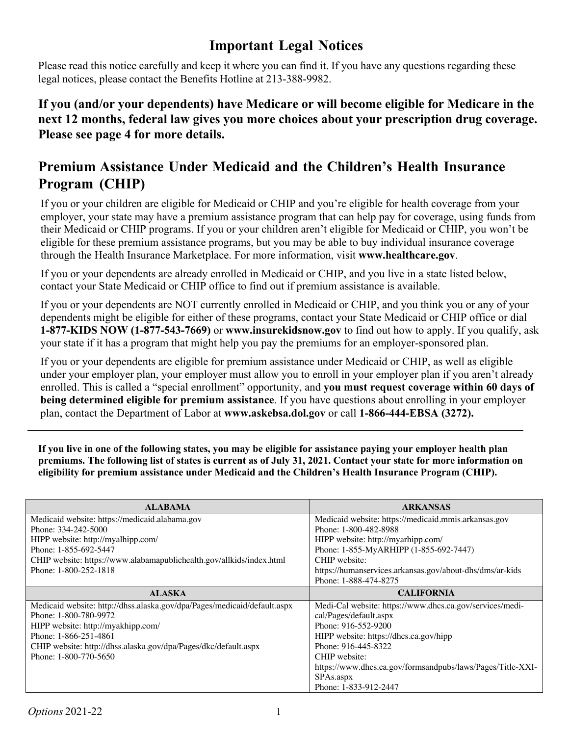## **Important Legal Notices**

Please read this notice carefully and keep it where you can find it. If you have any questions regarding these legal notices, please contact the Benefits Hotline at 213-388-9982.

**If you (and/or your dependents) have Medicare or will become eligible for Medicare in the next 12 months, federal law gives you more choices about your prescription drug coverage. Please see page 4 for more details.**

## **Premium Assistance Under Medicaid and the Children's Health Insurance Program (CHIP)**

If you or your children are eligible for Medicaid or CHIP and you're eligible for health coverage from your employer, your state may have a premium assistance program that can help pay for coverage, using funds from their Medicaid or CHIP programs. If you or your children aren't eligible for Medicaid or CHIP, you won't be eligible for these premium assistance programs, but you may be able to buy individual insurance coverage through the Health Insurance Marketplace. For more information, visit **www.healthcare.gov**.

If you or your dependents are already enrolled in Medicaid or CHIP, and you live in a state listed below, contact your State Medicaid or CHIP office to find out if premium assistance is available.

If you or your dependents are NOT currently enrolled in Medicaid or CHIP, and you think you or any of your dependents might be eligible for either of these programs, contact your State Medicaid or CHIP office or dial **1-877-KIDS NOW (1-877-543-7669)** or **www.insurekidsnow.gov** to find out how to apply. If you qualify, ask your state if it has a program that might help you pay the premiums for an employer-sponsored plan.

If you or your dependents are eligible for premium assistance under Medicaid or CHIP, as well as eligible under your employer plan, your employer must allow you to enroll in your employer plan if you aren't already enrolled. This is called a "special enrollment" opportunity, and **you must request coverage within 60 days of being determined eligible for premium assistance**. If you have questions about enrolling in your employer plan, contact the Department of Labor at **www.askebsa.dol.gov** or call **1-866-444-EBSA (3272).**

**If you live in one of the following states, you may be eligible for assistance paying your employer health plan premiums. The following list of states is current as of July 31, 2021. Contact your state for more information on eligibility for premium assistance under Medicaid and the Children's Health Insurance Program (CHIP).**

| <b>ALABAMA</b>                                                           | <b>ARKANSAS</b>                                            |  |
|--------------------------------------------------------------------------|------------------------------------------------------------|--|
| Medicaid website: https://medicaid.alabama.gov                           | Medicaid website: https://medicaid.mmis.arkansas.gov       |  |
| Phone: 334-242-5000                                                      | Phone: 1-800-482-8988                                      |  |
| HIPP website: http://myalhipp.com/                                       | HIPP website: http://myarhipp.com/                         |  |
| Phone: 1-855-692-5447                                                    | Phone: 1-855-MyARHIPP (1-855-692-7447)                     |  |
| CHIP website: https://www.alabamapublichealth.gov/allkids/index.html     | CHIP website:                                              |  |
| Phone: 1-800-252-1818                                                    | https://humanservices.arkansas.gov/about-dhs/dms/ar-kids   |  |
|                                                                          | Phone: 1-888-474-8275                                      |  |
| <b>ALASKA</b>                                                            | <b>CALIFORNIA</b>                                          |  |
| Medicaid website: http://dhss.alaska.gov/dpa/Pages/medicaid/default.aspx | Medi-Cal website: https://www.dhcs.ca.gov/services/medi-   |  |
| Phone: 1-800-780-9972                                                    | cal/Pages/default.aspx                                     |  |
| HIPP website: http://myakhipp.com/                                       | Phone: 916-552-9200                                        |  |
| Phone: 1-866-251-4861                                                    | HIPP website: https://dhcs.ca.gov/hipp                     |  |
|                                                                          |                                                            |  |
| CHIP website: http://dhss.alaska.gov/dpa/Pages/dkc/default.aspx          | Phone: 916-445-8322                                        |  |
| Phone: 1-800-770-5650                                                    | CHIP website:                                              |  |
|                                                                          | https://www.dhcs.ca.gov/formsandpubs/laws/Pages/Title-XXI- |  |
|                                                                          | SPAs.aspx                                                  |  |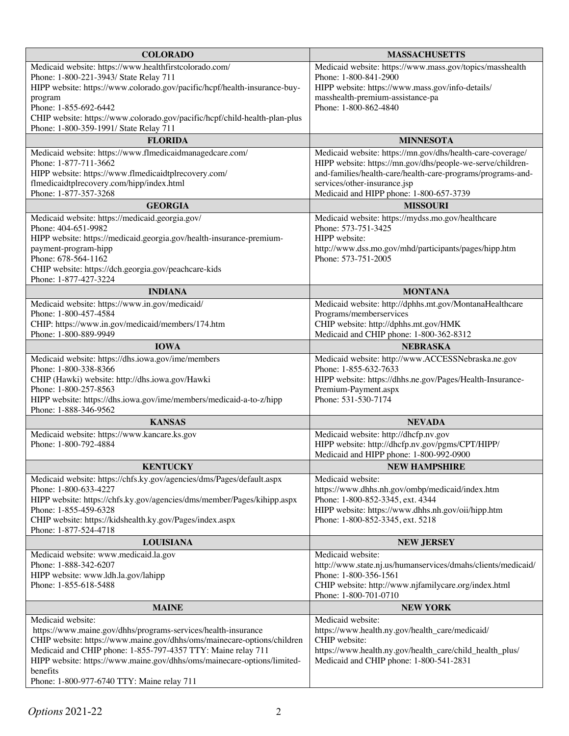| <b>COLORADO</b>                                                                                                                          | <b>MASSACHUSETTS</b>                                                                                                     |  |
|------------------------------------------------------------------------------------------------------------------------------------------|--------------------------------------------------------------------------------------------------------------------------|--|
| Medicaid website: https://www.healthfirstcolorado.com/                                                                                   | Medicaid website: https://www.mass.gov/topics/masshealth                                                                 |  |
| Phone: 1-800-221-3943/ State Relay 711                                                                                                   | Phone: 1-800-841-2900                                                                                                    |  |
| HIPP website: https://www.colorado.gov/pacific/hcpf/health-insurance-buy-<br>program                                                     | HIPP website: https://www.mass.gov/info-details/<br>masshealth-premium-assistance-pa                                     |  |
| Phone: 1-855-692-6442                                                                                                                    | Phone: 1-800-862-4840                                                                                                    |  |
| CHIP website: https://www.colorado.gov/pacific/hcpf/child-health-plan-plus                                                               |                                                                                                                          |  |
| Phone: 1-800-359-1991/ State Relay 711                                                                                                   |                                                                                                                          |  |
| <b>FLORIDA</b>                                                                                                                           | <b>MINNESOTA</b>                                                                                                         |  |
| Medicaid website: https://www.flmedicaidmanagedcare.com/<br>Phone: 1-877-711-3662                                                        | Medicaid website: https://mn.gov/dhs/health-care-coverage/<br>HIPP website: https://mn.gov/dhs/people-we-serve/children- |  |
| HIPP website: https://www.flmedicaidtplrecovery.com/                                                                                     | and-families/health-care/health-care-programs/programs-and-                                                              |  |
| flmedicaidtplrecovery.com/hipp/index.html                                                                                                | services/other-insurance.jsp                                                                                             |  |
| Phone: 1-877-357-3268                                                                                                                    | Medicaid and HIPP phone: 1-800-657-3739                                                                                  |  |
| <b>GEORGIA</b>                                                                                                                           | <b>MISSOURI</b>                                                                                                          |  |
| Medicaid website: https://medicaid.georgia.gov/<br>Phone: 404-651-9982                                                                   | Medicaid website: https://mydss.mo.gov/healthcare<br>Phone: 573-751-3425                                                 |  |
| HIPP website: https://medicaid.georgia.gov/health-insurance-premium-                                                                     | HIPP website:                                                                                                            |  |
| payment-program-hipp                                                                                                                     | http://www.dss.mo.gov/mhd/participants/pages/hipp.htm                                                                    |  |
| Phone: 678-564-1162                                                                                                                      | Phone: 573-751-2005                                                                                                      |  |
| CHIP website: https://dch.georgia.gov/peachcare-kids<br>Phone: 1-877-427-3224                                                            |                                                                                                                          |  |
| <b>INDIANA</b>                                                                                                                           | <b>MONTANA</b>                                                                                                           |  |
| Medicaid website: https://www.in.gov/medicaid/                                                                                           | Medicaid website: http://dphhs.mt.gov/MontanaHealthcare                                                                  |  |
| Phone: 1-800-457-4584<br>CHIP: https://www.in.gov/medicaid/members/174.htm                                                               | Programs/memberservices<br>CHIP website: http://dphhs.mt.gov/HMK                                                         |  |
| Phone: 1-800-889-9949                                                                                                                    | Medicaid and CHIP phone: 1-800-362-8312                                                                                  |  |
| <b>IOWA</b>                                                                                                                              | <b>NEBRASKA</b>                                                                                                          |  |
| Medicaid website: https://dhs.iowa.gov/ime/members                                                                                       | Medicaid website: http://www.ACCESSNebraska.ne.gov                                                                       |  |
| Phone: 1-800-338-8366                                                                                                                    | Phone: 1-855-632-7633                                                                                                    |  |
| CHIP (Hawki) website: http://dhs.iowa.gov/Hawki<br>Phone: 1-800-257-8563                                                                 | HIPP website: https://dhhs.ne.gov/Pages/Health-Insurance-<br>Premium-Payment.aspx                                        |  |
| HIPP website: https://dhs.iowa.gov/ime/members/medicaid-a-to-z/hipp                                                                      | Phone: 531-530-7174                                                                                                      |  |
| Phone: 1-888-346-9562                                                                                                                    |                                                                                                                          |  |
| <b>KANSAS</b>                                                                                                                            | <b>NEVADA</b>                                                                                                            |  |
| Medicaid website: https://www.kancare.ks.gov<br>Phone: 1-800-792-4884                                                                    | Medicaid website: http://dhcfp.nv.gov<br>HIPP website: http://dhcfp.nv.gov/pgms/CPT/HIPP/                                |  |
|                                                                                                                                          | Medicaid and HIPP phone: 1-800-992-0900                                                                                  |  |
| <b>KENTUCKY</b>                                                                                                                          | <b>NEW HAMPSHIRE</b>                                                                                                     |  |
| Medicaid website: https://chfs.ky.gov/agencies/dms/Pages/default.aspx                                                                    | Medicaid website:                                                                                                        |  |
| Phone: 1-800-633-4227                                                                                                                    | https://www.dhhs.nh.gov/ombp/medicaid/index.htm                                                                          |  |
| HIPP website: https://chfs.ky.gov/agencies/dms/member/Pages/kihipp.aspx<br>Phone: 1-855-459-6328                                         | Phone: 1-800-852-3345, ext. 4344<br>HIPP website: https://www.dhhs.nh.gov/oii/hipp.htm                                   |  |
| CHIP website: https://kidshealth.ky.gov/Pages/index.aspx                                                                                 | Phone: 1-800-852-3345, ext. 5218                                                                                         |  |
| Phone: 1-877-524-4718                                                                                                                    |                                                                                                                          |  |
| <b>LOUISIANA</b>                                                                                                                         | <b>NEW JERSEY</b>                                                                                                        |  |
| Medicaid website: www.medicaid.la.gov                                                                                                    | Medicaid website:                                                                                                        |  |
| Phone: 1-888-342-6207<br>HIPP website: www.ldh.la.gov/lahipp                                                                             | http://www.state.nj.us/humanservices/dmahs/clients/medicaid/<br>Phone: 1-800-356-1561                                    |  |
| Phone: 1-855-618-5488                                                                                                                    | CHIP website: http://www.njfamilycare.org/index.html                                                                     |  |
|                                                                                                                                          | Phone: 1-800-701-0710                                                                                                    |  |
| <b>MAINE</b>                                                                                                                             | <b>NEW YORK</b>                                                                                                          |  |
| Medicaid website:                                                                                                                        | Medicaid website:                                                                                                        |  |
| https://www.maine.gov/dhhs/programs-services/health-insurance<br>CHIP website: https://www.maine.gov/dhhs/oms/mainecare-options/children | https://www.health.ny.gov/health_care/medicaid/<br>CHIP website:                                                         |  |
| Medicaid and CHIP phone: 1-855-797-4357 TTY: Maine relay 711                                                                             | https://www.health.ny.gov/health_care/child_health_plus/                                                                 |  |
| HIPP website: https://www.maine.gov/dhhs/oms/mainecare-options/limited-                                                                  | Medicaid and CHIP phone: 1-800-541-2831                                                                                  |  |
| benefits                                                                                                                                 |                                                                                                                          |  |
| Phone: 1-800-977-6740 TTY: Maine relay 711                                                                                               |                                                                                                                          |  |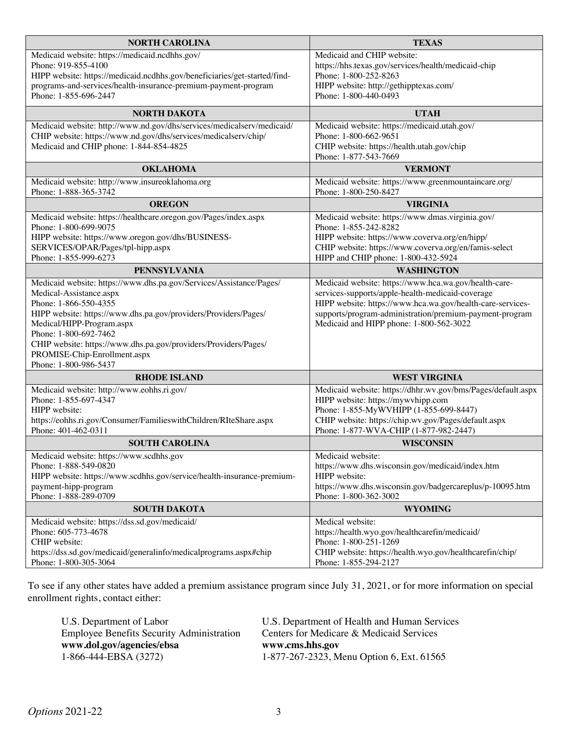| <b>NORTH CAROLINA</b>                                                     | <b>TEXAS</b>                                                                  |  |
|---------------------------------------------------------------------------|-------------------------------------------------------------------------------|--|
| Medicaid website: https://medicaid.ncdhhs.gov/                            | Medicaid and CHIP website:                                                    |  |
| Phone: 919-855-4100                                                       | https://hhs.texas.gov/services/health/medicaid-chip                           |  |
| HIPP website: https://medicaid.ncdhhs.gov/beneficiaries/get-started/find- | Phone: 1-800-252-8263                                                         |  |
| programs-and-services/health-insurance-premium-payment-program            | HIPP website: http://gethipptexas.com/                                        |  |
| Phone: 1-855-696-2447                                                     | Phone: 1-800-440-0493                                                         |  |
| NORTH DAKOTA                                                              | <b>UTAH</b>                                                                   |  |
| Medicaid website: http://www.nd.gov/dhs/services/medicalserv/medicaid/    | Medicaid website: https://medicaid.utah.gov/                                  |  |
| CHIP website: https://www.nd.gov/dhs/services/medicalserv/chip/           | Phone: 1-800-662-9651                                                         |  |
| Medicaid and CHIP phone: 1-844-854-4825                                   | CHIP website: https://health.utah.gov/chip                                    |  |
|                                                                           | Phone: 1-877-543-7669                                                         |  |
| <b>OKLAHOMA</b>                                                           | <b>VERMONT</b>                                                                |  |
| Medicaid website: http://www.insureoklahoma.org<br>Phone: 1-888-365-3742  | Medicaid website: https://www.greenmountaincare.org/<br>Phone: 1-800-250-8427 |  |
| <b>OREGON</b>                                                             | <b>VIRGINIA</b>                                                               |  |
| Medicaid website: https://healthcare.oregon.gov/Pages/index.aspx          | Medicaid website: https://www.dmas.virginia.gov/                              |  |
| Phone: 1-800-699-9075                                                     | Phone: 1-855-242-8282                                                         |  |
| HIPP website: https://www.oregon.gov/dhs/BUSINESS-                        | HIPP website: https://www.coverva.org/en/hipp/                                |  |
| SERVICES/OPAR/Pages/tpl-hipp.aspx                                         | CHIP website: https://www.coverva.org/en/famis-select                         |  |
| Phone: 1-855-999-6273                                                     | HIPP and CHIP phone: 1-800-432-5924                                           |  |
| <b>PENNSYLVANIA</b>                                                       | <b>WASHINGTON</b>                                                             |  |
| Medicaid website: https://www.dhs.pa.gov/Services/Assistance/Pages/       | Medicaid website: https://www.hca.wa.gov/health-care-                         |  |
| Medical-Assistance.aspx                                                   | services-supports/apple-health-medicaid-coverage                              |  |
| Phone: 1-866-550-4355                                                     | HIPP website: https://www.hca.wa.gov/health-care-services-                    |  |
| HIPP website: https://www.dhs.pa.gov/providers/Providers/Pages/           | supports/program-administration/premium-payment-program                       |  |
| Medical/HIPP-Program.aspx<br>Phone: 1-800-692-7462                        | Medicaid and HIPP phone: 1-800-562-3022                                       |  |
| CHIP website: https://www.dhs.pa.gov/providers/Providers/Pages/           |                                                                               |  |
| PROMISE-Chip-Enrollment.aspx                                              |                                                                               |  |
| Phone: 1-800-986-5437                                                     |                                                                               |  |
| <b>RHODE ISLAND</b>                                                       | <b>WEST VIRGINIA</b>                                                          |  |
| Medicaid website: http://www.eohhs.ri.gov/                                | Medicaid website: https://dhhr.wv.gov/bms/Pages/default.aspx                  |  |
| Phone: 1-855-697-4347                                                     | HIPP website: https://mywvhipp.com                                            |  |
| HIPP website:                                                             | Phone: 1-855-MyWVHIPP (1-855-699-8447)                                        |  |
| https://eohhs.ri.gov/Consumer/FamilieswithChildren/RIteShare.aspx         | CHIP website: https://chip.wv.gov/Pages/default.aspx                          |  |
| Phone: 401-462-0311                                                       | Phone: 1-877-WVA-CHIP (1-877-982-2447)                                        |  |
| <b>SOUTH CAROLINA</b>                                                     | <b>WISCONSIN</b>                                                              |  |
| Medicaid website: https://www.scdhhs.gov                                  | Medicaid website:                                                             |  |
| Phone: 1-888-549-0820                                                     | https://www.dhs.wisconsin.gov/medicaid/index.htm                              |  |
| HIPP website: https://www.scdhhs.gov/service/health-insurance-premium-    | HIPP website:<br>https://www.dhs.wisconsin.gov/badgercareplus/p-10095.htm     |  |
| payment-hipp-program<br>Phone: 1-888-289-0709                             | Phone: 1-800-362-3002                                                         |  |
| <b>SOUTH DAKOTA</b>                                                       | <b>WYOMING</b>                                                                |  |
| Medicaid website: https://dss.sd.gov/medicaid/                            | Medical website:                                                              |  |
| Phone: 605-773-4678                                                       | https://health.wyo.gov/healthcarefin/medicaid/                                |  |
| CHIP website:                                                             | Phone: 1-800-251-1269                                                         |  |
| https://dss.sd.gov/medicaid/generalinfo/medicalprograms.aspx#chip         | CHIP website: https://health.wyo.gov/healthcarefin/chip/                      |  |
| Phone: 1-800-305-3064                                                     | Phone: 1-855-294-2127                                                         |  |

To see if any other states have added a premium assistance program since July 31, 2021, or for more information on special enrollment rights, contact either:

| U.S. Department of Labor                         | U.S. Department of Health and Human Services |
|--------------------------------------------------|----------------------------------------------|
| <b>Employee Benefits Security Administration</b> | Centers for Medicare & Medicaid Services     |
| www.dol.gov/agencies/ebsa                        | www.cms.hhs.gov                              |
| 1-866-444-EBSA (3272)                            | 1-877-267-2323, Menu Option 6, Ext. 61565    |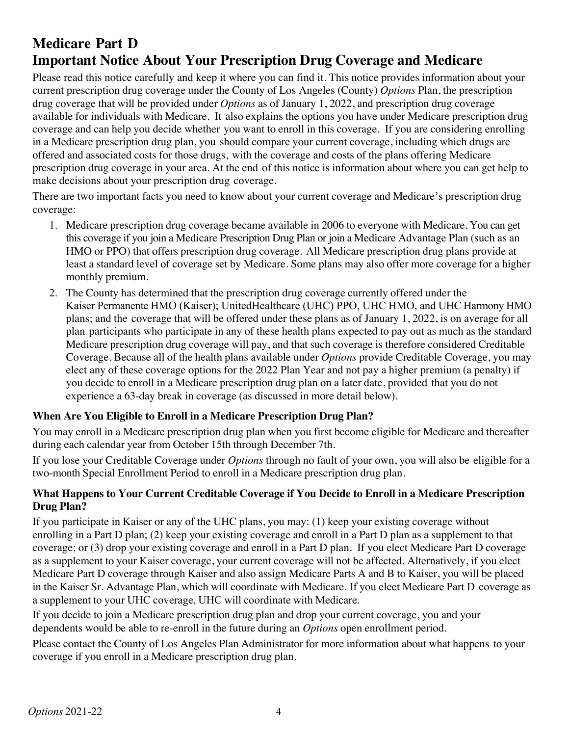# **Medicare Part D Important Notice About Your Prescription Drug Coverage and Medicare**

Please read this notice carefully and keep it where you can find it. This notice provides information about your current prescription drug coverage under the County of Los Angeles (County) *Options* Plan, the prescription drug coverage that will be provided under *Options* as of January 1, 2022, and prescription drug coverage available for individuals with Medicare. It also explains the options you have under Medicare prescription drug coverage and can help you decide whether you want to enroll in this coverage. If you are considering enrolling in a Medicare prescription drug plan, you should compare your current coverage, including which drugs are offered and associated costs for those drugs, with the coverage and costs of the plans offering Medicare prescription drug coverage in your area. At the end of this notice is information about where you can get help to make decisions about your prescription drug coverage.

There are two important facts you need to know about your current coverage and Medicare's prescription drug coverage:

- 1. Medicare prescription drug coverage became available in 2006 to everyone with Medicare. You can get this coverage if you join a Medicare Prescription Drug Plan or join a Medicare Advantage Plan (such as an HMO or PPO) that offers prescription drug coverage. All Medicare prescription drug plans provide at least a standard level of coverage set by Medicare. Some plans may also offer more coverage for a higher monthly premium.
- 2. The County has determined that the prescription drug coverage currently offered under the Kaiser Permanente HMO (Kaiser); UnitedHealthcare (UHC) PPO, UHC HMO, and UHC Harmony HMO plans; and the coverage that will be offered under these plans as of January 1, 2022, is on average for all plan participants who participate in any of these health plans expected to pay out as much as the standard Medicare prescription drug coverage will pay, and that such coverage is therefore considered Creditable Coverage. Because all of the health plans available under *Options* provide Creditable Coverage, you may elect any of these coverage options for the 2022 Plan Year and not pay a higher premium (a penalty) if you decide to enroll in a Medicare prescription drug plan on a later date, provided that you do not experience a 63-day break in coverage (as discussed in more detail below).

## **When Are You Eligible to Enroll in a Medicare Prescription Drug Plan?**

You may enroll in a Medicare prescription drug plan when you first become eligible for Medicare and thereafter during each calendar year from October 15th through December 7th.

If you lose your Creditable Coverage under *Options* through no fault of your own, you will also be eligible for a two-month Special Enrollment Period to enroll in a Medicare prescription drug plan.

## **What Happens to Your Current Creditable Coverage if You Decide to Enroll in a Medicare Prescription Drug Plan?**

If you participate in Kaiser or any of the UHC plans, you may: (1) keep your existing coverage without enrolling in a Part D plan; (2) keep your existing coverage and enroll in a Part D plan as a supplement to that coverage; or (3) drop your existing coverage and enroll in a Part D plan. If you elect Medicare Part D coverage as a supplement to your Kaiser coverage, your current coverage will not be affected. Alternatively, if you elect Medicare Part D coverage through Kaiser and also assign Medicare Parts A and B to Kaiser, you will be placed in the Kaiser Sr. Advantage Plan, which will coordinate with Medicare. If you elect Medicare Part D coverage as a supplement to your UHC coverage, UHC will coordinate with Medicare.

If you decide to join a Medicare prescription drug plan and drop your current coverage, you and your dependents would be able to re-enroll in the future during an *Options* open enrollment period.

Please contact the County of Los Angeles Plan Administrator for more information about what happens to your coverage if you enroll in a Medicare prescription drug plan.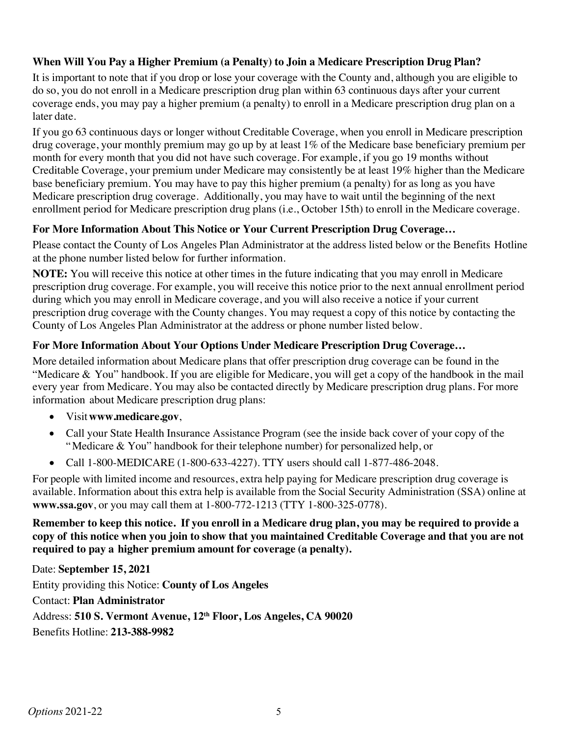## **When Will You Pay a Higher Premium (a Penalty) to Join a Medicare Prescription Drug Plan?**

It is important to note that if you drop or lose your coverage with the County and, although you are eligible to do so, you do not enroll in a Medicare prescription drug plan within 63 continuous days after your current coverage ends, you may pay a higher premium (a penalty) to enroll in a Medicare prescription drug plan on a later date.

If you go 63 continuous days or longer without Creditable Coverage, when you enroll in Medicare prescription drug coverage, your monthly premium may go up by at least 1% of the Medicare base beneficiary premium per month for every month that you did not have such coverage. For example, if you go 19 months without Creditable Coverage, your premium under Medicare may consistently be at least 19% higher than the Medicare base beneficiary premium. You may have to pay this higher premium (a penalty) for as long as you have Medicare prescription drug coverage. Additionally, you may have to wait until the beginning of the next enrollment period for Medicare prescription drug plans (i.e., October 15th) to enroll in the Medicare coverage.

### **For More Information About This Notice or Your Current Prescription Drug Coverage…**

Please contact the County of Los Angeles Plan Administrator at the address listed below or the Benefits Hotline at the phone number listed below for further information.

**NOTE:** You will receive this notice at other times in the future indicating that you may enroll in Medicare prescription drug coverage. For example, you will receive this notice prior to the next annual enrollment period during which you may enroll in Medicare coverage, and you will also receive a notice if your current prescription drug coverage with the County changes. You may request a copy of this notice by contacting the County of Los Angeles Plan Administrator at the address or phone number listed below.

### **For More Information About Your Options Under Medicare Prescription Drug Coverage…**

More detailed information about Medicare plans that offer prescription drug coverage can be found in the "Medicare & You" handbook. If you are eligible for Medicare, you will get a copy of the handbook in the mail every year from Medicare. You may also be contacted directly by Medicare prescription drug plans. For more information about Medicare prescription drug plans:

- Visit**www.medicare.gov**,
- Call your State Health Insurance Assistance Program (see the inside back cover of your copy of the "Medicare & You" handbook for their telephone number) for personalized help, or
- Call 1-800-MEDICARE (1-800-633-4227). TTY users should call 1-877-486-2048.

For people with limited income and resources, extra help paying for Medicare prescription drug coverage is available. Information about this extra help is available from the Social Security Administration (SSA) online at **www.ssa.gov**, or you may call them at 1-800-772-1213 (TTY 1-800-325-0778).

### Remember to keep this notice. If you enroll in a Medicare drug plan, you may be required to provide a copy of this notice when you join to show that you maintained Creditable Coverage and that you are not **required to pay a higher premium amount for coverage (a penalty).**

Date: **September 15, 2021** Entity providing this Notice: **County of Los Angeles** Contact: **Plan Administrator** Address: **510 S. Vermont Avenue, 12th Floor, Los Angeles, CA 90020** Benefits Hotline: **213-388-9982**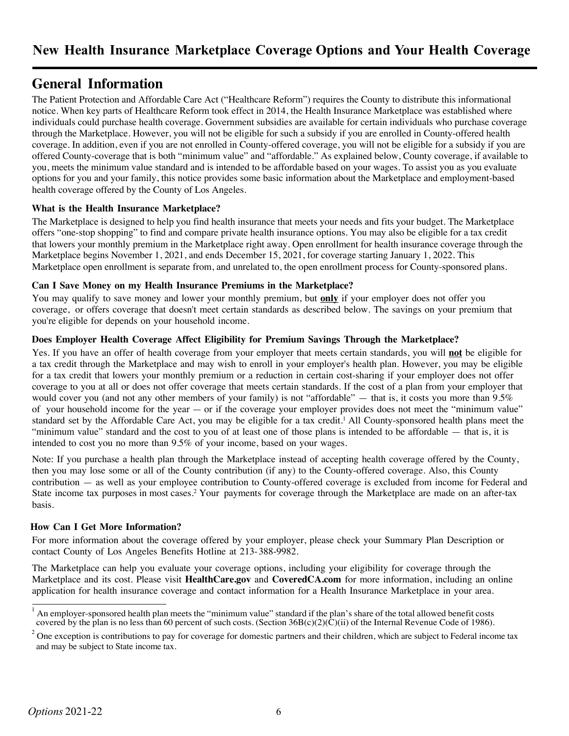## **General Information**

The Patient Protection and Affordable Care Act ("Healthcare Reform") requires the County to distribute this informational notice. When key parts of Healthcare Reform took effect in 2014, the Health Insurance Marketplace was established where individuals could purchase health coverage. Government subsidies are available for certain individuals who purchase coverage through the Marketplace. However, you will not be eligible for such a subsidy if you are enrolled in County-offered health coverage. In addition, even if you are not enrolled in County-offered coverage, you will not be eligible for a subsidy if you are offered County-coverage that is both "minimum value" and "affordable." As explained below, County coverage, if available to you, meets the minimum value standard and is intended to be affordable based on your wages. To assist you as you evaluate options for you and your family, this notice provides some basic information about the Marketplace and employment-based health coverage offered by the County of Los Angeles.

#### **What is the Health Insurance Marketplace?**

The Marketplace is designed to help you find health insurance that meets your needs and fits your budget. The Marketplace offers "one-stop shopping" to find and compare private health insurance options. You may also be eligible for a tax credit that lowers your monthly premium in the Marketplace right away. Open enrollment for health insurance coverage through the Marketplace begins November 1, 2021, and ends December 15, 2021, for coverage starting January 1, 2022. This Marketplace open enrollment is separate from, and unrelated to, the open enrollment process for County-sponsored plans.

#### **Can I Save Money on my Health Insurance Premiums in the Marketplace?**

You may qualify to save money and lower your monthly premium, but **only** if your employer does not offer you coverage, or offers coverage that doesn't meet certain standards as described below. The savings on your premium that you're eligible for depends on your household income.

#### **Does Employer Health Coverage Affect Eligibility for Premium Savings Through the Marketplace?**

Yes. If you have an offer of health coverage from your employer that meets certain standards, you will **not** be eligible for a tax credit through the Marketplace and may wish to enroll in your employer's health plan. However, you may be eligible for a tax credit that lowers your monthly premium or a reduction in certain cost-sharing if your employer does not offer coverage to you at all or does not offer coverage that meets certain standards. If the cost of a plan from your employer that would cover you (and not any other members of your family) is not "affordable" — that is, it costs you more than 9.5% of your household income for the year — or if the coverage your employer provides does not meet the "minimum value" standard set by the Affordable Care Act, you may be eligible for a tax credit. <sup>1</sup> All County-sponsored health plans meet the "minimum value" standard and the cost to you of at least one of those plans is intended to be affordable — that is, it is intended to cost you no more than 9.5% of your income, based on your wages.

Note: If you purchase a health plan through the Marketplace instead of accepting health coverage offered by the County, then you may lose some or all of the County contribution (if any) to the County-offered coverage. Also, this County contribution — as well as your employee contribution to County-offered coverage is excluded from income for Federal and State income tax purposes in most cases.<sup>2</sup> Your payments for coverage through the Marketplace are made on an after-tax basis.

#### **How Can I Get More Information?**

For more information about the coverage offered by your employer, please check your Summary Plan Description or contact County of Los Angeles Benefits Hotline at 213-388-9982.

The Marketplace can help you evaluate your coverage options, including your eligibility for coverage through the Marketplace and its cost. Please visit **HealthCare.gov** and **CoveredCA.com** for more information, including an online application for health insurance coverage and contact information for a Health Insurance Marketplace in your area.

<sup>1</sup> An employer-sponsored health plan meets the "minimum value" standard if the plan's share of the total allowed benefit costs covered by the plan is no less than 60 percent of such costs. (Section  $36B(c)(2)(\dot{C})(i)$  of the Internal Revenue Code of 1986).

 $2$  One exception is contributions to pay for coverage for domestic partners and their children, which are subject to Federal income tax and may be subject to State income tax.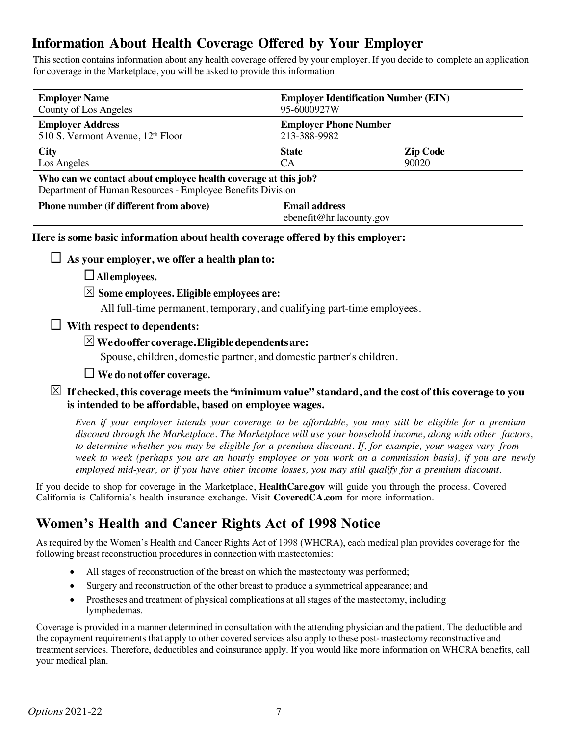# **Information About Health Coverage Offered by Your Employer**

This section contains information about any health coverage offered by your employer. If you decide to complete an application for coverage in the Marketplace, you will be asked to provide this information.

| <b>Employer Name</b>                                                                                                         | <b>Employer Identification Number (EIN)</b>      |                 |  |  |
|------------------------------------------------------------------------------------------------------------------------------|--------------------------------------------------|-----------------|--|--|
| County of Los Angeles                                                                                                        | 95-6000927W                                      |                 |  |  |
| <b>Employer Address</b>                                                                                                      | <b>Employer Phone Number</b>                     |                 |  |  |
| 510 S. Vermont Avenue, 12 <sup>th</sup> Floor                                                                                | 213-388-9982                                     |                 |  |  |
| <b>City</b>                                                                                                                  | <b>State</b>                                     | <b>Zip Code</b> |  |  |
| Los Angeles                                                                                                                  | <b>CA</b>                                        | 90020           |  |  |
| Who can we contact about employee health coverage at this job?<br>Department of Human Resources - Employee Benefits Division |                                                  |                 |  |  |
| <b>Phone number (if different from above)</b>                                                                                | <b>Email address</b><br>ebenefit@hr.lacounty.gov |                 |  |  |

**Here is some basic information about health coverage offered by this employer:**

## $\Box$  As your employer, we offer a health plan to:

¨**Allemployees.**

## S **Some employees. Eligible employees are:**

All full-time permanent, temporary, and qualifying part-time employees.

## ¨ **With respect to dependents:**

## S**Wedooffer coverage.Eligibledependentsare:**

Spouse, children, domestic partner, and domestic partner's children.

### ¨ **We do not offer coverage.**

### $\boxtimes$  If checked, this coverage meets the "minimum value" standard, and the cost of this coverage to you **is intended to be affordable, based on employee wages.**

Even if your employer intends your coverage to be affordable, you may still be eligible for a premium *discount through the Marketplace. The Marketplace will use your household income, along with other factors,* to determine whether you may be eligible for a premium discount. If, for example, your wages vary from week to week (perhaps you are an hourly employee or you work on a commission basis), if you are newly *employed mid-year, or if you have other income losses, you may still qualify for a premium discount.*

If you decide to shop for coverage in the Marketplace, **HealthCare.gov** will guide you through the process. Covered California is California's health insurance exchange. Visit **CoveredCA.com** for more information.

## **Women's Health and Cancer Rights Act of 1998 Notice**

As required by the Women's Health and Cancer Rights Act of 1998 (WHCRA), each medical plan provides coverage for the following breast reconstruction procedures in connection with mastectomies:

- All stages of reconstruction of the breast on which the mastectomy was performed;
- Surgery and reconstruction of the other breast to produce a symmetrical appearance; and
- Prostheses and treatment of physical complications at all stages of the mastectomy, including lymphedemas.

Coverage is provided in a manner determined in consultation with the attending physician and the patient. The deductible and the copayment requirements that apply to other covered services also apply to these post-mastectomy reconstructive and treatment services. Therefore, deductibles and coinsurance apply. If you would like more information on WHCRA benefits, call your medical plan.